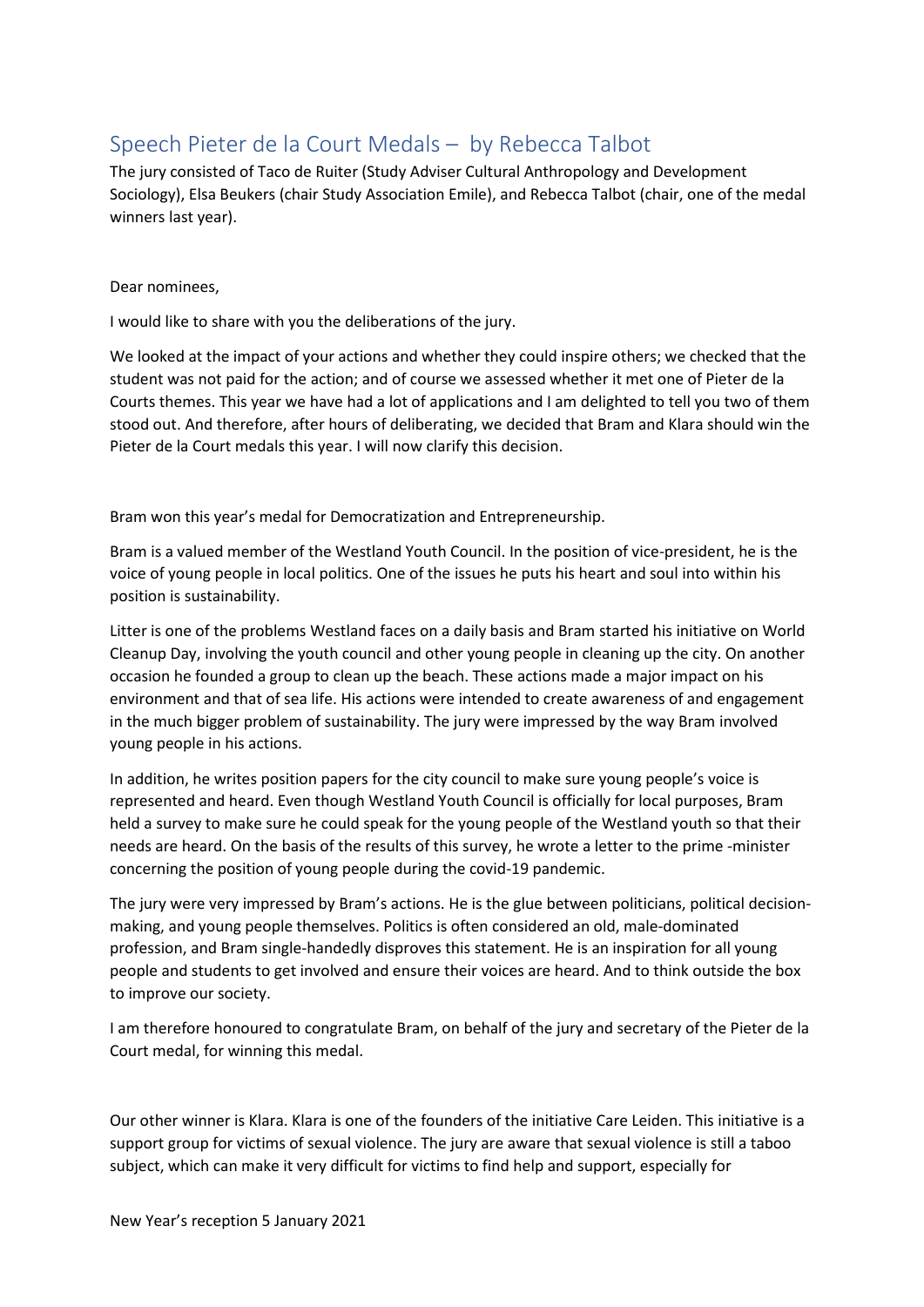## Speech Pieter de la Court Medals – by Rebecca Talbot

The jury consisted of Taco de Ruiter (Study Adviser Cultural Anthropology and Development Sociology), Elsa Beukers (chair Study Association Emile), and Rebecca Talbot (chair, one of the medal winners last year).

Dear nominees,

I would like to share with you the deliberations of the jury.

We looked at the impact of your actions and whether they could inspire others; we checked that the student was not paid for the action; and of course we assessed whether it met one of Pieter de la Courts themes. This year we have had a lot of applications and I am delighted to tell you two of them stood out. And therefore, after hours of deliberating, we decided that Bram and Klara should win the Pieter de la Court medals this year. I will now clarify this decision. 

Bram won this year's medal for Democratization and Entrepreneurship.  

Bram is a valued member of the Westland Youth Council. In the position of vice-president, he is the voice of young people in local politics. One of the issues he puts his heart and soul into within his position is sustainability.  

Litter is one of the problems Westland faces on a daily basis and Bram started his initiative on World Cleanup Day, involving the youth council and other young people in cleaning up the city. On another occasion he founded a group to clean up the beach. These actions made a major impact on his environment and that of sea life. His actions were intended to create awareness of and engagement in the much bigger problem of sustainability. The jury were impressed by the way Bram involved young people in his actions. 

In addition, he writes position papers for the city council to make sure young people's voice is represented and heard. Even though Westland Youth Council is officially for local purposes, Bram held a survey to make sure he could speak for the young people of the Westland youth so that their needs are heard. On the basis of the results of this survey, he wrote a letter to the prime -minister concerning the position of young people during the covid-19 pandemic.

The jury were very impressed by Bram's actions. He is the glue between politicians, political decisionmaking, and young people themselves. Politics is often considered an old, male-dominated profession, and Bram single-handedly disproves this statement. He is an inspiration for all young people and students to get involved and ensure their voices are heard. And to think outside the box to improve our society.  

I am therefore honoured to congratulate Bram, on behalf of the jury and secretary of the Pieter de la Court medal, for winning this medal. 

Our other winner is Klara. Klara is one of the founders of the initiative Care Leiden. This initiative is a support group for victims of sexual violence. The jury are aware that sexual violence is still a taboo subject, which can make it very difficult for victims to find help and support, especially for